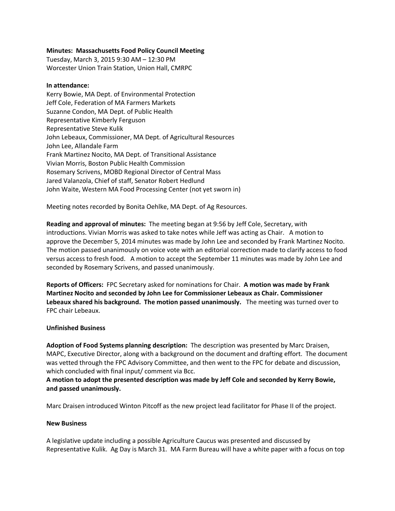# **Minutes: Massachusetts Food Policy Council Meeting**

Tuesday, March 3, 2015 9:30 AM – 12:30 PM Worcester Union Train Station, Union Hall, CMRPC

#### **In attendance:**

Kerry Bowie, MA Dept. of Environmental Protection Jeff Cole, Federation of MA Farmers Markets Suzanne Condon, MA Dept. of Public Health Representative Kimberly Ferguson Representative Steve Kulik John Lebeaux, Commissioner, MA Dept. of Agricultural Resources John Lee, Allandale Farm Frank Martinez Nocito, MA Dept. of Transitional Assistance Vivian Morris, Boston Public Health Commission Rosemary Scrivens, MOBD Regional Director of Central Mass Jared Valanzola, Chief of staff, Senator Robert Hedlund John Waite, Western MA Food Processing Center (not yet sworn in)

Meeting notes recorded by Bonita Oehlke, MA Dept. of Ag Resources.

**Reading and approval of minutes:** The meeting began at 9:56 by Jeff Cole, Secretary, with introductions. Vivian Morris was asked to take notes while Jeff was acting as Chair. A motion to approve the December 5, 2014 minutes was made by John Lee and seconded by Frank Martinez Nocito. The motion passed unanimously on voice vote with an editorial correction made to clarify access to food versus access to fresh food. A motion to accept the September 11 minutes was made by John Lee and seconded by Rosemary Scrivens, and passed unanimously.

**Reports of Officers:** FPC Secretary asked for nominations for Chair. **A motion was made by Frank Martinez Nocito and seconded by John Lee for Commissioner Lebeaux as Chair. Commissioner Lebeaux shared his background. The motion passed unanimously.** The meeting was turned over to FPC chair Lebeaux.

### **Unfinished Business**

**Adoption of Food Systems planning description:** The description was presented by Marc Draisen, MAPC, Executive Director, along with a background on the document and drafting effort. The document was vetted through the FPC Advisory Committee, and then went to the FPC for debate and discussion, which concluded with final input/ comment via Bcc.

**A motion to adopt the presented description was made by Jeff Cole and seconded by Kerry Bowie, and passed unanimously.**

Marc Draisen introduced Winton Pitcoff as the new project lead facilitator for Phase II of the project.

### **New Business**

A legislative update including a possible Agriculture Caucus was presented and discussed by Representative Kulik. Ag Day is March 31. MA Farm Bureau will have a white paper with a focus on top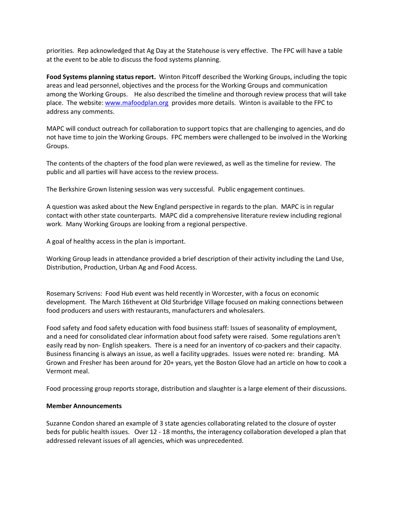priorities. Rep acknowledged that Ag Day at the Statehouse is very effective. The FPC will have a table at the event to be able to discuss the food systems planning.

**Food Systems planning status report.** Winton Pitcoff described the Working Groups, including the topic areas and lead personnel, objectives and the process for the Working Groups and communication among the Working Groups. He also described the timeline and thorough review process that will take place. The website: [www.mafoodplan.org](http://www.mafoodplan.org/) provides more details. Winton is available to the FPC to address any comments.

MAPC will conduct outreach for collaboration to support topics that are challenging to agencies, and do not have time to join the Working Groups. FPC members were challenged to be involved in the Working Groups.

The contents of the chapters of the food plan were reviewed, as well as the timeline for review. The public and all parties will have access to the review process.

The Berkshire Grown listening session was very successful. Public engagement continues.

A question was asked about the New England perspective in regards to the plan. MAPC is in regular contact with other state counterparts. MAPC did a comprehensive literature review including regional work. Many Working Groups are looking from a regional perspective.

A goal of healthy access in the plan is important.

Working Group leads in attendance provided a brief description of their activity including the Land Use, Distribution, Production, Urban Ag and Food Access.

Rosemary Scrivens: Food Hub event was held recently in Worcester, with a focus on economic development. The March 16thevent at Old Sturbridge Village focused on making connections between food producers and users with restaurants, manufacturers and wholesalers.

Food safety and food safety education with food business staff: Issues of seasonality of employment, and a need for consolidated clear information about food safety were raised. Some regulations aren't easily read by non- English speakers. There is a need for an inventory of co-packers and their capacity. Business financing is always an issue, as well a facility upgrades. Issues were noted re: branding. MA Grown and Fresher has been around for 20+ years, yet the Boston Glove had an article on how to cook a Vermont meal.

Food processing group reports storage, distribution and slaughter is a large element of their discussions.

### **Member Announcements**

Suzanne Condon shared an example of 3 state agencies collaborating related to the closure of oyster beds for public health issues. Over 12 - 18 months, the interagency collaboration developed a plan that addressed relevant issues of all agencies, which was unprecedented.